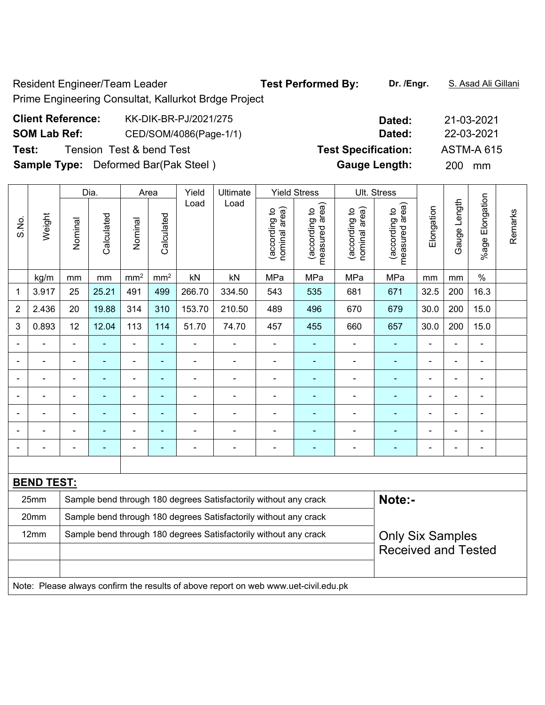Resident Engineer/Team Leader **Test Performed By:** Dr. /Engr. **S. Asad Ali Gillani** 

Prime Engineering Consultat, Kallurkot Brdge Project

# **Client Reference:** KK-DIK-BR-PJ/2021/275 **Dated:** 21-03-2021 **SOM Lab Ref:** CED/SOM/4086(Page-1/1) **Dated:** 22-03-2021 **Test:** Tension Test & bend Test **Test Specification:** ASTM-A 615 **Sample Type:** Deformed Bar(Pak Steel ) **Gauge Length:** 200 mm

|                          |                                                                                     |                                                                                             | Dia.                                                             |                          | Area            | Yield          | Ultimate                                                         |                                | <b>Yield Stress</b>             |                                | Ult. Stress                     |                |                |                 |         |
|--------------------------|-------------------------------------------------------------------------------------|---------------------------------------------------------------------------------------------|------------------------------------------------------------------|--------------------------|-----------------|----------------|------------------------------------------------------------------|--------------------------------|---------------------------------|--------------------------------|---------------------------------|----------------|----------------|-----------------|---------|
| S.No.                    | Weight                                                                              | Nominal                                                                                     | Calculated                                                       | Nominal                  | Calculated      | Load           | Load                                                             | nominal area)<br>(according to | (according to<br>measured area) | nominal area)<br>(according to | measured area)<br>(according to | Elongation     | Gauge Length   | %age Elongation | Remarks |
|                          | kg/m                                                                                | mm                                                                                          | mm                                                               | mm <sup>2</sup>          | mm <sup>2</sup> | kN             | kN                                                               | MPa                            | MPa                             | MPa                            | MPa                             | mm             | mm             | $\%$            |         |
| 1                        | 3.917                                                                               | 25                                                                                          | 25.21                                                            | 491                      | 499             | 266.70         | 334.50                                                           | 543                            | 535                             | 681                            | 671                             | 32.5           | 200            | 16.3            |         |
| $\overline{2}$           | 2.436                                                                               | 20                                                                                          | 19.88                                                            | 314                      | 310             | 153.70         | 210.50                                                           | 489                            | 496                             | 670                            | 679                             | 30.0           | 200            | 15.0            |         |
| 3                        | 0.893                                                                               | 12                                                                                          | 12.04                                                            | 113                      | 114             | 51.70          | 74.70                                                            | 457                            | 455                             | 660                            | 657                             | 30.0           | 200            | 15.0            |         |
| $\blacksquare$           |                                                                                     | ä,                                                                                          |                                                                  | $\blacksquare$           | $\blacksquare$  | $\blacksquare$ | ÷,                                                               | $\blacksquare$                 | ۰                               | $\blacksquare$                 | ÷                               | $\blacksquare$ | ä,             | $\blacksquare$  |         |
| ÷                        | $\blacksquare$                                                                      | $\blacksquare$                                                                              | $\blacksquare$                                                   | $\blacksquare$           | $\blacksquare$  | $\blacksquare$ | $\blacksquare$                                                   | $\blacksquare$                 | ÷                               | ÷,                             | ÷                               | $\blacksquare$ | ä,             | $\blacksquare$  |         |
|                          | $\blacksquare$                                                                      | $\blacksquare$                                                                              | $\blacksquare$                                                   | $\blacksquare$           | ÷               | $\blacksquare$ | $\blacksquare$                                                   | $\overline{\phantom{a}}$       | ÷                               | $\blacksquare$                 | $\blacksquare$                  | $\blacksquare$ | $\blacksquare$ | $\blacksquare$  |         |
|                          |                                                                                     | $\blacksquare$                                                                              |                                                                  | $\blacksquare$           | $\blacksquare$  |                | $\blacksquare$                                                   | $\blacksquare$                 | $\blacksquare$                  | $\blacksquare$                 | ÷                               | $\blacksquare$ |                | Ē,              |         |
|                          |                                                                                     |                                                                                             |                                                                  | $\overline{\phantom{0}}$ |                 |                |                                                                  |                                |                                 |                                |                                 |                |                |                 |         |
|                          |                                                                                     | -                                                                                           |                                                                  | $\overline{\phantom{0}}$ | ä,              |                |                                                                  |                                |                                 |                                |                                 |                |                |                 |         |
| $\overline{\phantom{0}}$ |                                                                                     | ä,                                                                                          |                                                                  | $\blacksquare$           | ÷               | ÷              | $\blacksquare$                                                   | $\blacksquare$                 | ۰                               | $\blacksquare$                 | $\blacksquare$                  | $\blacksquare$ | Ē,             | $\blacksquare$  |         |
|                          |                                                                                     |                                                                                             |                                                                  |                          |                 |                |                                                                  |                                |                                 |                                |                                 |                |                |                 |         |
|                          | <b>BEND TEST:</b>                                                                   |                                                                                             |                                                                  |                          |                 |                |                                                                  |                                |                                 |                                |                                 |                |                |                 |         |
|                          | 25mm                                                                                |                                                                                             |                                                                  |                          |                 |                | Sample bend through 180 degrees Satisfactorily without any crack |                                |                                 |                                | Note:-                          |                |                |                 |         |
|                          | 20mm                                                                                |                                                                                             | Sample bend through 180 degrees Satisfactorily without any crack |                          |                 |                |                                                                  |                                |                                 |                                |                                 |                |                |                 |         |
|                          | 12mm                                                                                | Sample bend through 180 degrees Satisfactorily without any crack<br><b>Only Six Samples</b> |                                                                  |                          |                 |                |                                                                  |                                |                                 |                                |                                 |                |                |                 |         |
|                          |                                                                                     | <b>Received and Tested</b>                                                                  |                                                                  |                          |                 |                |                                                                  |                                |                                 |                                |                                 |                |                |                 |         |
|                          |                                                                                     |                                                                                             |                                                                  |                          |                 |                |                                                                  |                                |                                 |                                |                                 |                |                |                 |         |
|                          | Note: Please always confirm the results of above report on web www.uet-civil.edu.pk |                                                                                             |                                                                  |                          |                 |                |                                                                  |                                |                                 |                                |                                 |                |                |                 |         |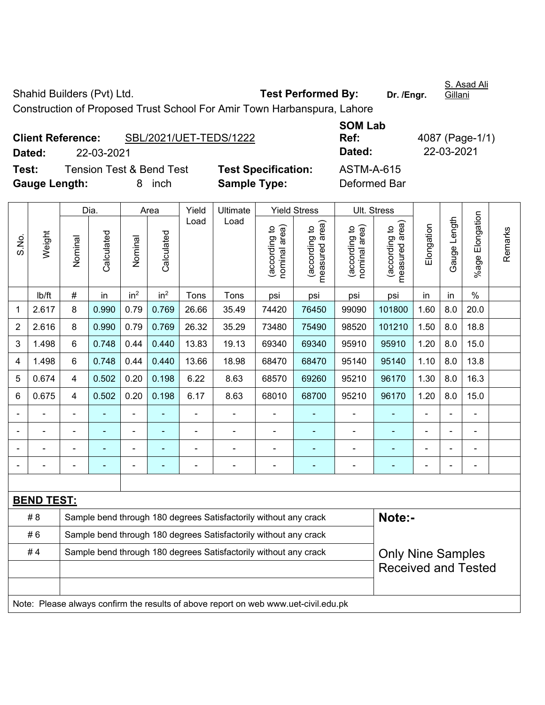Shahid Builders (Pvt) Ltd. **Test Performed By:** Dr. /Engr.

S. Asad Ali Gillani

Construction of Proposed Trust School For Amir Town Harbanspura, Lahore

| <b>Client Reference:</b> |            | SBL/2021/UET-TEDS/1222              |                           |
|--------------------------|------------|-------------------------------------|---------------------------|
| Dated:                   | 22-03-2021 |                                     |                           |
| Test:                    |            | <b>Tension Test &amp; Bend Test</b> | <b>Test Specification</b> |
| <b>Gauge Length:</b>     |            | 8 inch                              | <b>Sample Type:</b>       |

**SOM Lab Ref:** 4087 (Page-1/1) **Dated:** 22-03-2021 **Dated:** 22-03-2021 **Test:** ASTM-A-615 **Deformed Bar** 

|                |                                                                                     |                                                                                                                            | Dia.       |                 | Area            | Yield                    | Ultimate                                                         |                                | <b>Yield Stress</b>                         |                                | Ult. Stress                     |            |                |                           |         |
|----------------|-------------------------------------------------------------------------------------|----------------------------------------------------------------------------------------------------------------------------|------------|-----------------|-----------------|--------------------------|------------------------------------------------------------------|--------------------------------|---------------------------------------------|--------------------------------|---------------------------------|------------|----------------|---------------------------|---------|
| S.No.          | Weight                                                                              | Nominal                                                                                                                    | Calculated | Nominal         | Calculated      | Load                     | Load                                                             | nominal area)<br>(according to | (according to<br>measured area)<br>measured | nominal area)<br>(according to | (according to<br>measured area) | Elongation | Gauge Length   | Elongation<br>$%$ age $ $ | Remarks |
|                | lb/ft                                                                               | #                                                                                                                          | in         | in <sup>2</sup> | in <sup>2</sup> | Tons                     | Tons                                                             | psi                            | psi                                         | psi                            | psi                             | in         | in             | $\%$                      |         |
| 1              | 2.617                                                                               | 8                                                                                                                          | 0.990      | 0.79            | 0.769           | 26.66                    | 35.49                                                            | 74420                          | 76450                                       | 99090                          | 101800                          | 1.60       | 8.0            | 20.0                      |         |
| $\overline{2}$ | 2.616                                                                               | 8                                                                                                                          | 0.990      | 0.79            | 0.769           | 26.32                    | 35.29                                                            | 73480                          | 75490                                       | 98520                          | 101210                          | 1.50       | 8.0            | 18.8                      |         |
| 3              | 1.498                                                                               | 6                                                                                                                          | 0.748      | 0.44            | 0.440           | 13.83                    | 19.13                                                            | 69340                          | 69340                                       | 95910                          | 95910                           | 1.20       | 8.0            | 15.0                      |         |
| 4              | 1.498                                                                               | 6                                                                                                                          | 0.748      | 0.44            | 0.440           | 13.66                    | 18.98                                                            | 68470                          | 68470                                       | 95140                          | 95140                           | 1.10       | 8.0            | 13.8                      |         |
| 5              | 0.674                                                                               | $\overline{\mathbf{4}}$                                                                                                    | 0.502      | 0.20            | 0.198           | 6.22                     | 8.63                                                             | 68570                          | 69260                                       | 95210                          | 96170                           | 1.30       | 8.0            | 16.3                      |         |
| 6              | 0.675                                                                               | $\overline{4}$                                                                                                             | 0.502      | 0.20            | 0.198           | 6.17                     | 8.63                                                             | 68010                          | 68700                                       | 95210                          | 96170                           | 1.20       | 8.0            | 15.0                      |         |
|                |                                                                                     | $\blacksquare$                                                                                                             |            |                 |                 |                          |                                                                  |                                |                                             |                                |                                 |            |                | $\blacksquare$            |         |
|                |                                                                                     |                                                                                                                            |            |                 |                 |                          |                                                                  | L,                             |                                             | ÷                              | ÷,                              |            |                | ä,                        |         |
| $\blacksquare$ |                                                                                     |                                                                                                                            |            |                 |                 |                          | $\blacksquare$                                                   |                                | $\overline{\phantom{0}}$                    | $\blacksquare$                 | ۰                               |            |                | $\blacksquare$            |         |
| $\blacksquare$ |                                                                                     | $\blacksquare$                                                                                                             |            | $\blacksquare$  |                 | $\overline{\phantom{0}}$ | $\blacksquare$                                                   | $\blacksquare$                 | $\blacksquare$                              | ÷                              | ۰                               | ۰          | $\blacksquare$ | $\blacksquare$            |         |
|                |                                                                                     |                                                                                                                            |            |                 |                 |                          |                                                                  |                                |                                             |                                |                                 |            |                |                           |         |
|                | <b>BEND TEST:</b>                                                                   |                                                                                                                            |            |                 |                 |                          |                                                                  |                                |                                             |                                |                                 |            |                |                           |         |
|                | #8                                                                                  |                                                                                                                            |            |                 |                 |                          | Sample bend through 180 degrees Satisfactorily without any crack |                                |                                             |                                | Note:-                          |            |                |                           |         |
|                | #6                                                                                  | Sample bend through 180 degrees Satisfactorily without any crack                                                           |            |                 |                 |                          |                                                                  |                                |                                             |                                |                                 |            |                |                           |         |
|                | #4                                                                                  | Sample bend through 180 degrees Satisfactorily without any crack<br><b>Only Nine Samples</b><br><b>Received and Tested</b> |            |                 |                 |                          |                                                                  |                                |                                             |                                |                                 |            |                |                           |         |
|                |                                                                                     |                                                                                                                            |            |                 |                 |                          |                                                                  |                                |                                             |                                |                                 |            |                |                           |         |
|                | Note: Please always confirm the results of above report on web www.uet-civil.edu.pk |                                                                                                                            |            |                 |                 |                          |                                                                  |                                |                                             |                                |                                 |            |                |                           |         |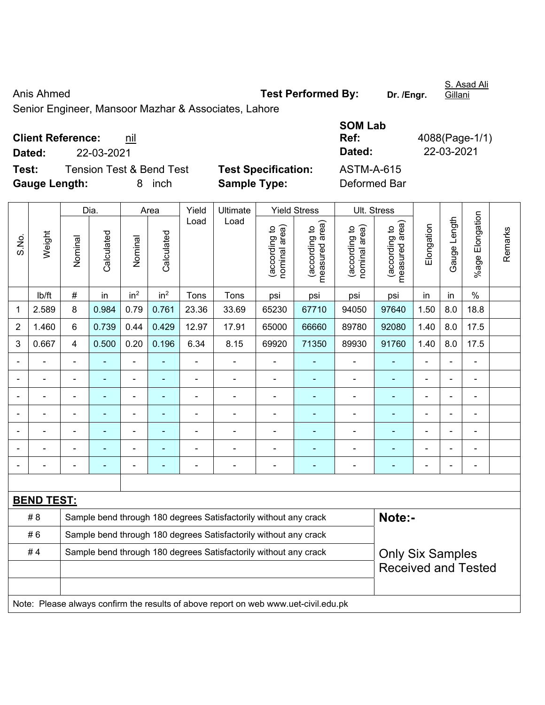Anis Ahmed **Test Performed By:** Dr. /Engr.

Senior Engineer, Mansoor Mazhar & Associates, Lahore

| <b>Client Reference:</b> | nil |
|--------------------------|-----|
|--------------------------|-----|

**Test:** Tension Test & Bend Test **Test Specification: Gauge Length:** 8 inch **Sample Type:** Deformed Bar

|                                         |                                 |                            | ---------  |                |
|-----------------------------------------|---------------------------------|----------------------------|------------|----------------|
|                                         | <b>Client Reference:</b><br>nil |                            | Ref:       | 4088(Page-1/1) |
| Dated:                                  | 22-03-2021                      |                            | Dated:     | 22-03-2021     |
| Test:                                   | Tension Test & Bend Test        | <b>Test Specification:</b> | ASTM-A-615 |                |
| $\bullet$ $\bullet$ $\bullet$ $\bullet$ |                                 | - - -                      |            |                |

**SOM Lab** 

|                |                                                                                     |                | Dia.                                                                                        |                 | Area            | Yield                    | Ultimate                                                         |                                | <b>Yield Stress</b>             |                                | Ult. Stress                    |                |                |                          |         |
|----------------|-------------------------------------------------------------------------------------|----------------|---------------------------------------------------------------------------------------------|-----------------|-----------------|--------------------------|------------------------------------------------------------------|--------------------------------|---------------------------------|--------------------------------|--------------------------------|----------------|----------------|--------------------------|---------|
| S.No.          | Weight                                                                              | Nominal        | Calculated                                                                                  | Nominal         | Calculated      | Load                     | Load                                                             | nominal area)<br>(according to | (according to<br>measured area) | (according to<br>nominal area) | measured area)<br>decording to | Elongation     | Gauge Length   | Elongation<br>$%$ age I  | Remarks |
|                | lb/ft                                                                               | $\#$           | in                                                                                          | in <sup>2</sup> | in <sup>2</sup> | Tons                     | Tons                                                             | psi                            | psi                             | psi                            | psi                            | in             | in             | $\%$                     |         |
| 1              | 2.589                                                                               | 8              | 0.984                                                                                       | 0.79            | 0.761           | 23.36                    | 33.69                                                            | 65230                          | 67710                           | 94050                          | 97640                          | 1.50           | 8.0            | 18.8                     |         |
| $\overline{2}$ | 1.460                                                                               | 6              | 0.739                                                                                       | 0.44            | 0.429           | 12.97                    | 17.91                                                            | 65000                          | 66660                           | 89780                          | 92080                          | 1.40           | 8.0            | 17.5                     |         |
| 3              | 0.667                                                                               | 4              | 0.500                                                                                       | 0.20            | 0.196           | 6.34                     | 8.15                                                             | 69920                          | 71350                           | 89930                          | 91760                          | 1.40           | 8.0            | 17.5                     |         |
|                |                                                                                     | ä,             |                                                                                             |                 |                 |                          | $\blacksquare$                                                   | $\blacksquare$                 |                                 | $\blacksquare$                 |                                | $\blacksquare$ | $\blacksquare$ |                          |         |
|                | $\blacksquare$                                                                      | ä,             | $\blacksquare$                                                                              | $\blacksquare$  | ۰               | $\blacksquare$           | $\blacksquare$                                                   | $\blacksquare$                 | ÷                               | $\blacksquare$                 | $\blacksquare$                 | $\blacksquare$ | $\blacksquare$ | $\overline{\phantom{a}}$ |         |
|                | $\blacksquare$                                                                      | ä,             | $\blacksquare$                                                                              | $\blacksquare$  | ٠               | $\blacksquare$           | $\blacksquare$                                                   | $\blacksquare$                 | ÷                               | $\blacksquare$                 |                                | $\blacksquare$ | $\blacksquare$ | $\overline{\phantom{a}}$ |         |
|                | $\blacksquare$                                                                      | $\blacksquare$ | $\blacksquare$                                                                              | $\blacksquare$  | ۰               | $\overline{\phantom{0}}$ | $\blacksquare$                                                   | $\blacksquare$                 | ۰                               | $\overline{\phantom{a}}$       | $\blacksquare$                 | $\blacksquare$ | $\blacksquare$ | $\blacksquare$           |         |
|                |                                                                                     |                |                                                                                             |                 |                 |                          |                                                                  | $\blacksquare$                 |                                 |                                |                                | ä,             |                |                          |         |
|                |                                                                                     |                |                                                                                             |                 |                 |                          |                                                                  |                                |                                 |                                |                                |                |                |                          |         |
| $\blacksquare$ |                                                                                     | $\blacksquare$ | ٠                                                                                           | $\blacksquare$  | ٠               |                          | $\blacksquare$                                                   | $\blacksquare$                 | ۰                               | $\blacksquare$                 | $\blacksquare$                 | $\blacksquare$ | $\blacksquare$ | $\blacksquare$           |         |
|                |                                                                                     |                |                                                                                             |                 |                 |                          |                                                                  |                                |                                 |                                |                                |                |                |                          |         |
|                | <b>BEND TEST:</b>                                                                   |                |                                                                                             |                 |                 |                          |                                                                  |                                |                                 |                                |                                |                |                |                          |         |
|                | # 8                                                                                 |                |                                                                                             |                 |                 |                          | Sample bend through 180 degrees Satisfactorily without any crack |                                |                                 |                                | Note:-                         |                |                |                          |         |
|                | #6                                                                                  |                | Sample bend through 180 degrees Satisfactorily without any crack                            |                 |                 |                          |                                                                  |                                |                                 |                                |                                |                |                |                          |         |
|                | #4                                                                                  |                | Sample bend through 180 degrees Satisfactorily without any crack<br><b>Only Six Samples</b> |                 |                 |                          |                                                                  |                                |                                 |                                |                                |                |                |                          |         |
|                |                                                                                     |                |                                                                                             |                 |                 |                          |                                                                  |                                |                                 |                                | <b>Received and Tested</b>     |                |                |                          |         |
|                |                                                                                     |                |                                                                                             |                 |                 |                          |                                                                  |                                |                                 |                                |                                |                |                |                          |         |
|                | Note: Please always confirm the results of above report on web www.uet-civil.edu.pk |                |                                                                                             |                 |                 |                          |                                                                  |                                |                                 |                                |                                |                |                |                          |         |

S. Asad Ali Gillani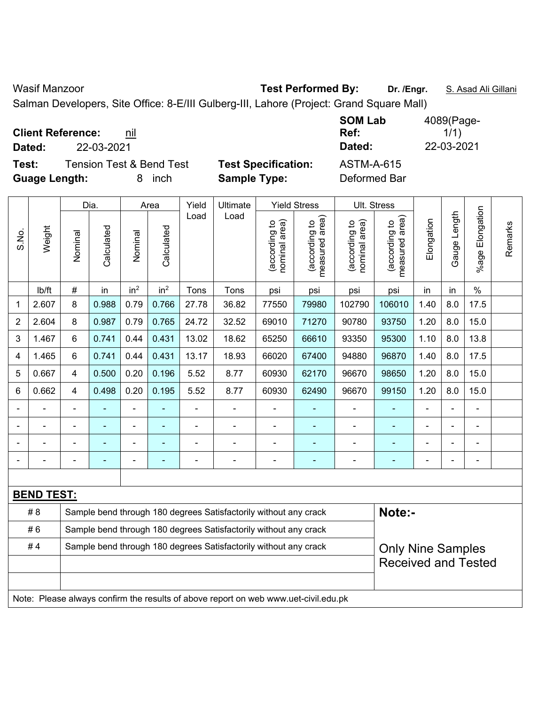Wasif Manzoor **Test Performed By:** Dr. /Engr. **S. Asad Ali Gillani** Ali Cillani

Salman Developers, Site Office: 8-E/III Gulberg-III, Lahore (Project: Grand Square Mall)

| <b>Client Reference:</b><br>nil<br>22-03-2021<br>Dated: |                            | <b>SOM Lab</b><br>Ref:<br>Dated: | 4089(Page-<br>1/1)<br>22-03-2021 |
|---------------------------------------------------------|----------------------------|----------------------------------|----------------------------------|
| <b>Tension Test &amp; Bend Test</b><br>Test:            | <b>Test Specification:</b> | ASTM-A-615                       |                                  |
| <b>Guage Length:</b><br>inch<br>8                       | <b>Sample Type:</b>        | Deformed Bar                     |                                  |

|       |                                                                                     |                                                                                              | Dia.           |                 | Area            | Yield | Ultimate                                                         |                                | <b>Yield Stress</b>                |                                | Ult. Stress                     |                |              |                 |         |
|-------|-------------------------------------------------------------------------------------|----------------------------------------------------------------------------------------------|----------------|-----------------|-----------------|-------|------------------------------------------------------------------|--------------------------------|------------------------------------|--------------------------------|---------------------------------|----------------|--------------|-----------------|---------|
| S.No. | Weight                                                                              | Nominal                                                                                      | Calculated     | Nominal         | Calculated      | Load  | Load                                                             | nominal area)<br>(according to | area)<br>(according to<br>measured | nominal area)<br>(according to | measured area)<br>(according to | Elongation     | Gauge Length | %age Elongation | Remarks |
|       | lb/ft                                                                               | $\#$                                                                                         | in             | in <sup>2</sup> | in <sup>2</sup> | Tons  | Tons                                                             | psi                            | psi                                | psi                            | psi                             | in             | in           | $\%$            |         |
| 1     | 2.607                                                                               | 8                                                                                            | 0.988          | 0.79            | 0.766           | 27.78 | 36.82                                                            | 77550                          | 79980                              | 102790                         | 106010                          | 1.40           | 8.0          | 17.5            |         |
| 2     | 2.604                                                                               | 8                                                                                            | 0.987          | 0.79            | 0.765           | 24.72 | 32.52                                                            | 69010                          | 71270                              | 90780                          | 93750                           | 1.20           | 8.0          | 15.0            |         |
| 3     | 1.467                                                                               | 6                                                                                            | 0.741          | 0.44            | 0.431           | 13.02 | 18.62                                                            | 65250                          | 66610                              | 93350                          | 95300                           | 1.10           | 8.0          | 13.8            |         |
| 4     | 1.465                                                                               | 6                                                                                            | 0.741          | 0.44            | 0.431           | 13.17 | 18.93                                                            | 66020                          | 67400                              | 94880                          | 96870                           | 1.40           | 8.0          | 17.5            |         |
| 5     | 0.667                                                                               | 4                                                                                            | 0.500          | 0.20            | 0.196           | 5.52  | 8.77                                                             | 60930                          | 62170                              | 96670                          | 98650                           | 1.20           | 8.0          | 15.0            |         |
| 6     | 0.662                                                                               | 4                                                                                            | 0.498          | 0.20            | 0.195           | 5.52  | 8.77                                                             | 60930                          | 62490                              | 96670                          | 99150                           | 1.20           | 8.0          | 15.0            |         |
|       |                                                                                     |                                                                                              |                |                 |                 |       |                                                                  |                                |                                    |                                |                                 |                |              |                 |         |
|       |                                                                                     |                                                                                              |                |                 |                 |       |                                                                  |                                |                                    | L,                             |                                 | Ē,             |              |                 |         |
|       |                                                                                     |                                                                                              |                | $\blacksquare$  |                 |       | ÷                                                                |                                |                                    | -                              | $\blacksquare$                  |                |              | $\blacksquare$  |         |
|       |                                                                                     | $\blacksquare$                                                                               | $\blacksquare$ | $\blacksquare$  |                 |       | $\blacksquare$                                                   | $\blacksquare$                 | $\blacksquare$                     | $\blacksquare$                 | $\blacksquare$                  | $\blacksquare$ |              | $\overline{a}$  |         |
|       |                                                                                     |                                                                                              |                |                 |                 |       |                                                                  |                                |                                    |                                |                                 |                |              |                 |         |
|       | <b>BEND TEST:</b>                                                                   |                                                                                              |                |                 |                 |       |                                                                  |                                |                                    |                                |                                 |                |              |                 |         |
|       | # 8                                                                                 |                                                                                              |                |                 |                 |       | Sample bend through 180 degrees Satisfactorily without any crack |                                |                                    |                                | Note:-                          |                |              |                 |         |
|       | #6                                                                                  | Sample bend through 180 degrees Satisfactorily without any crack                             |                |                 |                 |       |                                                                  |                                |                                    |                                |                                 |                |              |                 |         |
|       | #4                                                                                  | Sample bend through 180 degrees Satisfactorily without any crack<br><b>Only Nine Samples</b> |                |                 |                 |       |                                                                  |                                |                                    |                                |                                 |                |              |                 |         |
|       |                                                                                     |                                                                                              |                |                 |                 |       |                                                                  |                                |                                    |                                | <b>Received and Tested</b>      |                |              |                 |         |
|       |                                                                                     |                                                                                              |                |                 |                 |       |                                                                  |                                |                                    |                                |                                 |                |              |                 |         |
|       | Note: Please always confirm the results of above report on web www.uet-civil.edu.pk |                                                                                              |                |                 |                 |       |                                                                  |                                |                                    |                                |                                 |                |              |                 |         |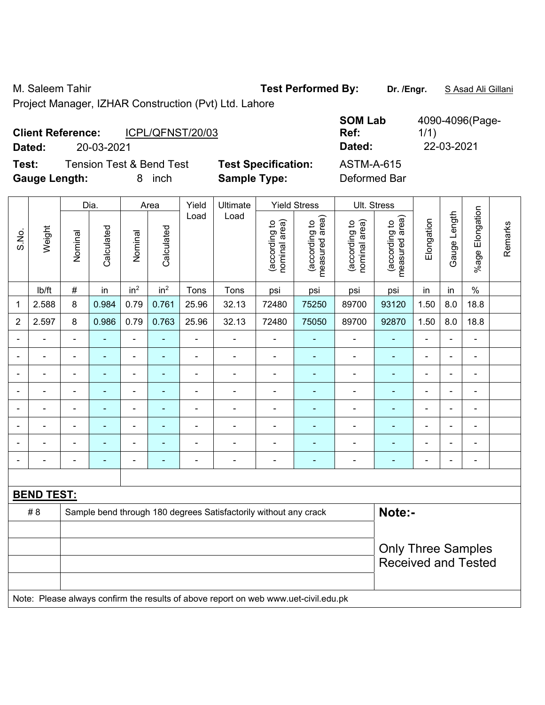M. Saleem Tahir **Test Performed By: Dr. /Engr.** S Asad Ali Gillani

Project Manager, IZHAR Construction (Pvt) Ltd. Lahore

| <b>Client Reference:</b> |                                     | ICPL/QFNST/20/03 |                            | <b>SOM Lab</b><br>Ref: | 4090-4096(Page-<br>1/1) |
|--------------------------|-------------------------------------|------------------|----------------------------|------------------------|-------------------------|
| Dated:                   | 20-03-2021                          |                  |                            | Dated:                 | 22-03-2021              |
| Test:                    | <b>Tension Test &amp; Bend Test</b> |                  | <b>Test Specification:</b> | <b>ASTM-A-615</b>      |                         |
| <b>Gauge Length:</b>     |                                     | inch             | <b>Sample Type:</b>        | Deformed Bar           |                         |

|                |                                                                                     |                                                         | Dia.           |                 | Area            | Yield<br>Ultimate |                                                                  |                                | <b>Yield Stress</b>             |                                | Ult. Stress                     |                |                          |                          |         |
|----------------|-------------------------------------------------------------------------------------|---------------------------------------------------------|----------------|-----------------|-----------------|-------------------|------------------------------------------------------------------|--------------------------------|---------------------------------|--------------------------------|---------------------------------|----------------|--------------------------|--------------------------|---------|
| S.No.          | Weight                                                                              | Nominal                                                 | Calculated     | Nominal         | Calculated      | Load              | Load                                                             | nominal area)<br>(according to | measured area)<br>(according to | nominal area)<br>(according to | measured area)<br>(according to | Elongation     | Gauge Length             | %age Elongation          | Remarks |
|                | lb/ft                                                                               | $\#$                                                    | in             | in <sup>2</sup> | in <sup>2</sup> | Tons              | Tons                                                             | psi                            | psi                             | psi                            | psi                             | in             | in                       | $\%$                     |         |
| $\mathbf 1$    | 2.588                                                                               | 8                                                       | 0.984          | 0.79            | 0.761           | 25.96             | 32.13                                                            | 72480                          | 75250                           | 89700                          | 93120                           | 1.50           | 8.0                      | 18.8                     |         |
| $\overline{2}$ | 2.597                                                                               | 8                                                       | 0.986          | 0.79            | 0.763           | 25.96             | 32.13                                                            | 72480                          | 75050                           | 89700                          | 92870                           | 1.50           | 8.0                      | 18.8                     |         |
| $\blacksquare$ | $\overline{a}$                                                                      | $\overline{\phantom{a}}$                                | ä,             | $\blacksquare$  | ÷               | $\blacksquare$    | ÷                                                                | ä,                             | $\blacksquare$                  | $\overline{\phantom{a}}$       | $\blacksquare$                  | ä,             | ä,                       | $\blacksquare$           |         |
|                | ä,                                                                                  | $\blacksquare$                                          | $\blacksquare$ | $\blacksquare$  | $\blacksquare$  | $\overline{a}$    | ÷                                                                | ä,                             | ÷                               | $\overline{\phantom{a}}$       | $\blacksquare$                  | $\blacksquare$ | $\blacksquare$           | $\overline{\phantom{a}}$ |         |
|                | $\blacksquare$                                                                      | $\blacksquare$                                          | ÷,             | $\blacksquare$  | $\blacksquare$  | $\blacksquare$    | ÷                                                                | $\blacksquare$                 | $\blacksquare$                  | ÷,                             | $\blacksquare$                  | $\blacksquare$ | $\blacksquare$           | $\blacksquare$           |         |
|                | $\blacksquare$                                                                      |                                                         |                | ä,              | ٠               | $\blacksquare$    | $\blacksquare$                                                   | L,                             | ä,                              | $\blacksquare$                 | $\blacksquare$                  | $\blacksquare$ | $\blacksquare$           | ÷                        |         |
|                |                                                                                     |                                                         | ۰              | $\blacksquare$  |                 |                   | $\blacksquare$                                                   | $\blacksquare$                 | $\overline{\phantom{a}}$        | $\blacksquare$                 | $\blacksquare$                  | $\blacksquare$ |                          | $\blacksquare$           |         |
|                |                                                                                     |                                                         |                | ÷               |                 | $\blacksquare$    | ÷                                                                |                                |                                 | ÷                              | ÷,                              |                | $\overline{\phantom{0}}$ |                          |         |
|                |                                                                                     |                                                         |                | $\overline{a}$  | ۳               | $\blacksquare$    | $\blacksquare$                                                   | ä,                             | ٠                               | ۰                              | $\blacksquare$                  | $\blacksquare$ | $\overline{\phantom{0}}$ | $\blacksquare$           |         |
|                | Ē.                                                                                  |                                                         | Ē.             | ÷               | ٠               | $\blacksquare$    | $\blacksquare$                                                   | ä,                             | $\overline{a}$                  | ÷                              | ۰                               | $\blacksquare$ | $\blacksquare$           | $\blacksquare$           |         |
|                |                                                                                     |                                                         |                |                 |                 |                   |                                                                  |                                |                                 |                                |                                 |                |                          |                          |         |
|                | <b>BEND TEST:</b>                                                                   |                                                         |                |                 |                 |                   |                                                                  |                                |                                 |                                |                                 |                |                          |                          |         |
|                | # 8                                                                                 |                                                         |                |                 |                 |                   | Sample bend through 180 degrees Satisfactorily without any crack |                                |                                 |                                | Note:-                          |                |                          |                          |         |
|                |                                                                                     |                                                         |                |                 |                 |                   |                                                                  |                                |                                 |                                |                                 |                |                          |                          |         |
|                |                                                                                     | <b>Only Three Samples</b><br><b>Received and Tested</b> |                |                 |                 |                   |                                                                  |                                |                                 |                                |                                 |                |                          |                          |         |
|                |                                                                                     |                                                         |                |                 |                 |                   |                                                                  |                                |                                 |                                |                                 |                |                          |                          |         |
|                | Note: Please always confirm the results of above report on web www.uet-civil.edu.pk |                                                         |                |                 |                 |                   |                                                                  |                                |                                 |                                |                                 |                |                          |                          |         |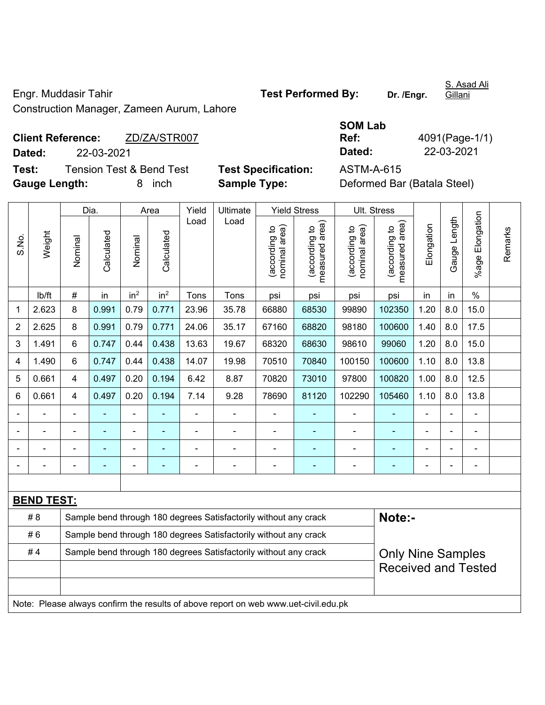Engr. Muddasir Tahir **Test Performed By:** Dr. /Engr.

S. Asad Ali **Gillani** 

Construction Manager, Zameen Aurum, Lahore

|        | <b>Client Reference:</b><br>ZD/ZA/STR007 |                            | Ref:       | 4091(Page-1/ |
|--------|------------------------------------------|----------------------------|------------|--------------|
| Dated: | 22-03-2021                               |                            | Dated:     | 22-03-2021   |
| Test:  | <b>Tension Test &amp; Bend Test</b>      | <b>Test Specification:</b> | ASTM-A-615 |              |

**Test Specification:** ASTM-A-615

| SOM Lab |                |
|---------|----------------|
| Ref:    | 4091(Page-1/1) |
| Dated:  | 22-03-2021     |
|         |                |

**Gauge Length:** 8 inch **Sample Type:** Deformed Bar (Batala Steel)

|                                                                        |                   |                | Dia.       |                 | Area                     |                | Ultimate                                                                            |                                | <b>Yield Stress</b>                         |                                | Ult. Stress                     |                |                |                       |         |
|------------------------------------------------------------------------|-------------------|----------------|------------|-----------------|--------------------------|----------------|-------------------------------------------------------------------------------------|--------------------------------|---------------------------------------------|--------------------------------|---------------------------------|----------------|----------------|-----------------------|---------|
| S.No.                                                                  | Weight            | Nominal        | Calculated | Nominal         | Calculated               | Load           | Load                                                                                | nominal area)<br>(according to | (according to<br>measured area)<br>measured | nominal area)<br>(according to | (according to<br>measured area) | Elongation     | Gauge Length   | Elongation<br>$%$ age | Remarks |
|                                                                        | lb/ft             | $\#$           | in         | in <sup>2</sup> | in <sup>2</sup>          | Tons           | Tons                                                                                | psi                            | psi                                         | psi                            | psi                             | in             | in             | $\%$                  |         |
| $\mathbf 1$                                                            | 2.623             | 8              | 0.991      | 0.79            | 0.771                    | 23.96          | 35.78                                                                               | 66880                          | 68530                                       | 99890                          | 102350                          | 1.20           | 8.0            | 15.0                  |         |
| $\overline{c}$                                                         | 2.625             | 8              | 0.991      | 0.79            | 0.771                    | 24.06          | 35.17                                                                               | 67160                          | 68820                                       | 98180                          | 100600                          | 1.40           | 8.0            | 17.5                  |         |
| 3                                                                      | 1.491             | 6              | 0.747      | 0.44            | 0.438                    | 13.63          | 19.67                                                                               | 68320                          | 68630                                       | 98610                          | 99060                           | 1.20           | 8.0            | 15.0                  |         |
| 4                                                                      | 1.490             | 6              | 0.747      | 0.44            | 0.438                    | 14.07          | 19.98                                                                               | 70510                          | 70840                                       | 100150                         | 100600                          | 1.10           | 8.0            | 13.8                  |         |
| 5                                                                      | 0.661             | 4              | 0.497      | 0.20            | 0.194                    | 6.42           | 8.87                                                                                | 70820                          | 73010                                       | 97800                          | 100820                          | 1.00           | 8.0            | 12.5                  |         |
| $\,6\,$                                                                | 0.661             | $\overline{4}$ | 0.497      | 0.20            | 0.194                    | 7.14           | 9.28                                                                                | 78690                          | 81120                                       | 102290                         | 105460                          | 1.10           | 8.0            | 13.8                  |         |
|                                                                        |                   |                |            |                 |                          |                |                                                                                     |                                |                                             |                                |                                 |                |                |                       |         |
|                                                                        |                   | $\blacksquare$ |            | $\overline{a}$  | $\overline{\phantom{0}}$ | $\blacksquare$ | $\blacksquare$                                                                      | $\blacksquare$                 | $\overline{\phantom{0}}$                    | $\overline{a}$                 | $\blacksquare$                  | $\blacksquare$ | $\blacksquare$ | ۰                     |         |
|                                                                        |                   |                |            | $\blacksquare$  | $\overline{\phantom{0}}$ | ٠              |                                                                                     | $\qquad \qquad \blacksquare$   |                                             |                                |                                 | $\blacksquare$ |                | ÷                     |         |
|                                                                        |                   |                |            |                 |                          | ٠              |                                                                                     |                                | ٠                                           |                                | ۰                               |                |                | $\blacksquare$        |         |
|                                                                        |                   |                |            |                 |                          |                |                                                                                     |                                |                                             |                                |                                 |                |                |                       |         |
|                                                                        | <b>BEND TEST:</b> |                |            |                 |                          |                |                                                                                     |                                |                                             |                                |                                 |                |                |                       |         |
|                                                                        | #8                |                |            |                 |                          |                | Sample bend through 180 degrees Satisfactorily without any crack                    |                                |                                             |                                | Note:-                          |                |                |                       |         |
| #6<br>Sample bend through 180 degrees Satisfactorily without any crack |                   |                |            |                 |                          |                |                                                                                     |                                |                                             |                                |                                 |                |                |                       |         |
|                                                                        | #4                |                |            |                 |                          |                | Sample bend through 180 degrees Satisfactorily without any crack                    |                                |                                             |                                | <b>Only Nine Samples</b>        |                |                |                       |         |
|                                                                        |                   |                |            |                 |                          |                |                                                                                     |                                |                                             |                                | <b>Received and Tested</b>      |                |                |                       |         |
|                                                                        |                   |                |            |                 |                          |                |                                                                                     |                                |                                             |                                |                                 |                |                |                       |         |
|                                                                        |                   |                |            |                 |                          |                | Note: Please always confirm the results of above report on web www.uet-civil.edu.pk |                                |                                             |                                |                                 |                |                |                       |         |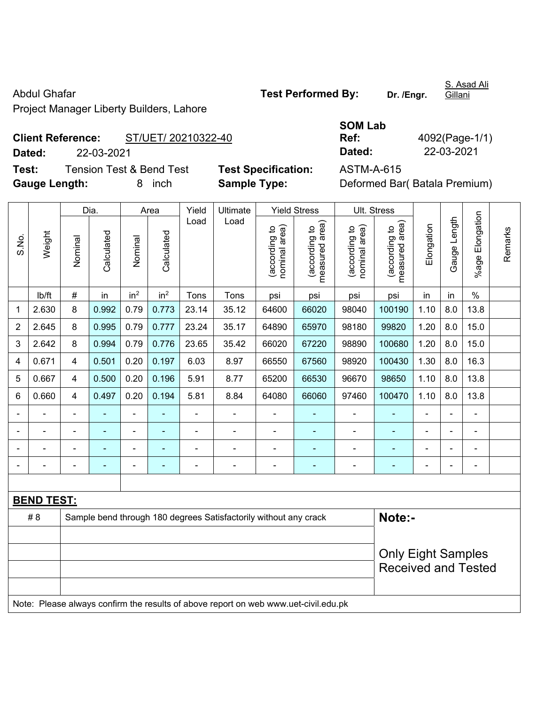Project Manager Liberty Builders, Lahore

**Client Reference:** ST/UET/ 20210322-40 **Dated:** 22-03-2021 **Dated:** 22-03-2021

**Test:** Tension Test & Bend Test **Test Specification:** ASTM-A-615 **Gauge Length:** 8 inch **Sample Type:** Deformed Bar( Batala Premium)

| - ت<br><u>ສ</u>             |        |         |            |                 |                 |       |          |                                                  |                                                        |                                                  |                                                        |            |                    |                       |
|-----------------------------|--------|---------|------------|-----------------|-----------------|-------|----------|--------------------------------------------------|--------------------------------------------------------|--------------------------------------------------|--------------------------------------------------------|------------|--------------------|-----------------------|
|                             |        |         | Dia.       |                 | Area            | Yield | Ultimate |                                                  | <b>Yield Stress</b>                                    |                                                  | Ult. Stress                                            |            |                    |                       |
| $rac{5}{5}$<br><sub>0</sub> | Weight | Nominal | Calculated | Nominal         | Calculated      | Load  | Load     | area)<br>$\overline{c}$<br>(according<br>nominal | rea)<br>$\overline{c}$<br>ᡕᢐ<br>(according<br>measured | area)<br>$\overline{5}$<br>(according<br>nominal | rea)<br>$\overline{c}$<br>ᡕᢐ<br>(according<br>measured | Elongation | ength<br>auge<br>Ö | Elongation<br>$%$ age |
|                             | lb/ft  | #       | in         | in <sup>2</sup> | in <sup>2</sup> | Tons  | Tons     | psi                                              | psi                                                    | psi                                              | psi                                                    | in         | in                 | $\%$                  |
| 1                           | 2.630  | 8       | 0.992      | 0.79            | 0.773           | 23.14 | 35.12    | 64600                                            | 66020                                                  | 98040                                            | 100190                                                 | 1.10       | 8.0                | 13.8                  |
| 2                           | 2.645  | 8       | 0.995      | 0.79            | 0.777           | 23.24 | 35.17    | 64890                                            | 65970                                                  | 98180                                            | 99820                                                  | 1.20       | 8.0                | 15.0                  |
| 3                           | 2.642  | 8       | 0.994      | 0.79            | 0.776           | 23.65 | 35.42    | 66020                                            | 67220                                                  | 98890                                            | 100680                                                 | 1.20       | 8.0                | 15.0                  |
| 4                           | 0.671  | 4       | 0.501      | 0.20            | 0.197           | 6.03  | 8.97     | 66550                                            | 67560                                                  | 98920                                            | 100430                                                 | 1.30       | 8.0                | 16.3                  |
| 5                           | 0.667  | 4       | 0.500      | 0.20            | 0.196           | 5.91  | 8.77     | 65200                                            | 66530                                                  | 96670                                            | 98650                                                  | 1.10       | 8.0                | 13.8                  |
| 6                           | 0.660  | 4       | 0.497      | 0.20            | 0.194           | 5.81  | 8.84     | 64080                                            | 66060                                                  | 97460                                            | 100470                                                 | 1.10       | 8.0                | 13.8                  |

- - - - - - - - - - - - - - - - - - - - - - - - - - - - - - - - - - - - - - - - - - - - -

| <b>BEND TEST:</b>                                                                   |  |  |  |  |  |                                                                  |  |  |  |        |  |  |  |
|-------------------------------------------------------------------------------------|--|--|--|--|--|------------------------------------------------------------------|--|--|--|--------|--|--|--|
| # 8                                                                                 |  |  |  |  |  | Sample bend through 180 degrees Satisfactorily without any crack |  |  |  | Note:- |  |  |  |
|                                                                                     |  |  |  |  |  |                                                                  |  |  |  |        |  |  |  |
| <b>Only Eight Samples</b>                                                           |  |  |  |  |  |                                                                  |  |  |  |        |  |  |  |
| <b>Received and Tested</b>                                                          |  |  |  |  |  |                                                                  |  |  |  |        |  |  |  |
|                                                                                     |  |  |  |  |  |                                                                  |  |  |  |        |  |  |  |
| Note: Please always confirm the results of above report on web www.uet-civil.edu.pk |  |  |  |  |  |                                                                  |  |  |  |        |  |  |  |

**SOM Lab** 

**Ref:** 4092(Page-1/1)

S. Asad Ali **Gillani** 

Remarks

Remarks

Abdul Ghafar **Test Performed By:** Dr. /Engr.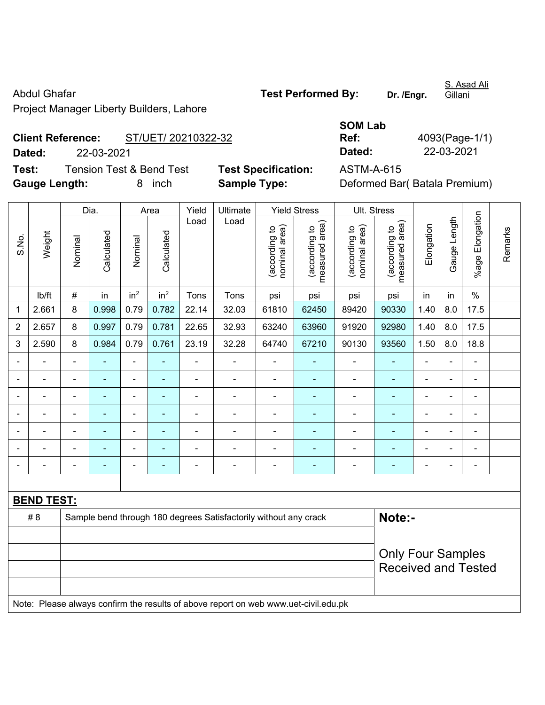Project Manager Liberty Builders, Lahore

**Client Reference:** ST/UET/ 20210322-32

**Test:** Tension Test & Bend Test **Test Specification:** ASTM-A-615 **Gauge Length:** 8 inch **Sample Type:** Deformed Bar( Batala Premium)

**Dated:** 22-03-2021 **Dated:** 22-03-2021

**SOM Lab Ref:** 4093(Page-1/1)

|                            | Dia.                     |                |                | Area            |                 | Yield          | Ultimate                                                                            |                                | <b>Yield Stress</b>             |                                | Ult. Stress                     |                |                |                 |         |
|----------------------------|--------------------------|----------------|----------------|-----------------|-----------------|----------------|-------------------------------------------------------------------------------------|--------------------------------|---------------------------------|--------------------------------|---------------------------------|----------------|----------------|-----------------|---------|
| S.No.                      | Weight                   | Nominal        | Calculated     | Nominal         | Calculated      | Load           | Load                                                                                | (according to<br>nominal area) | measured area)<br>(according to | (according to<br>nominal area) | measured area)<br>(according to | Elongation     | Gauge Length   | %age Elongation | Remarks |
|                            | Ib/ft                    | #              | in             | in <sup>2</sup> | in <sup>2</sup> | Tons           | Tons                                                                                | psi                            | psi                             | psi                            | psi                             | in             | in             | $\%$            |         |
| 1                          | 2.661                    | 8              | 0.998          | 0.79            | 0.782           | 22.14          | 32.03                                                                               | 61810                          | 62450                           | 89420                          | 90330                           | 1.40           | 8.0            | 17.5            |         |
| 2                          | 2.657                    | 8              | 0.997          | 0.79            | 0.781           | 22.65          | 32.93                                                                               | 63240                          | 63960                           | 91920                          | 92980                           | 1.40           | 8.0            | 17.5            |         |
| 3                          | 2.590                    | 8              | 0.984          | 0.79            | 0.761           | 23.19          | 32.28                                                                               | 64740                          | 67210                           | 90130                          | 93560                           | 1.50           | 8.0            | 18.8            |         |
|                            |                          |                |                | $\blacksquare$  |                 |                |                                                                                     |                                |                                 |                                |                                 |                |                |                 |         |
|                            |                          |                |                | $\blacksquare$  |                 | $\blacksquare$ | $\blacksquare$                                                                      | $\blacksquare$                 |                                 | $\blacksquare$                 | $\blacksquare$                  |                |                | ÷               |         |
|                            |                          | Ē,             |                | $\blacksquare$  |                 | Ē,             | $\blacksquare$                                                                      | Ē,                             |                                 | $\blacksquare$                 | $\blacksquare$                  | $\blacksquare$ | $\blacksquare$ | $\blacksquare$  |         |
| $\blacksquare$             |                          | $\blacksquare$ | $\blacksquare$ | $\blacksquare$  |                 | $\blacksquare$ | $\blacksquare$                                                                      | ä,                             | $\blacksquare$                  | $\blacksquare$                 | $\blacksquare$                  | $\blacksquare$ | $\blacksquare$ | $\blacksquare$  |         |
|                            |                          | Ē,             | $\blacksquare$ | $\blacksquare$  |                 | $\blacksquare$ | $\blacksquare$                                                                      | Ē,                             | ÷                               | $\blacksquare$                 | $\blacksquare$                  | $\blacksquare$ |                | $\frac{1}{2}$   |         |
|                            |                          |                |                | $\sim$          |                 |                |                                                                                     |                                |                                 |                                |                                 |                |                |                 |         |
|                            |                          | $\blacksquare$ |                | $\blacksquare$  | ٠               | L              | $\overline{\phantom{0}}$                                                            | Ē,                             | ٠                               | $\overline{\phantom{0}}$       | $\blacksquare$                  |                |                | ÷               |         |
|                            |                          |                |                |                 |                 |                |                                                                                     |                                |                                 |                                |                                 |                |                |                 |         |
|                            | <b>BEND TEST:</b>        |                |                |                 |                 |                |                                                                                     |                                |                                 |                                |                                 |                |                |                 |         |
|                            | # 8                      |                |                |                 |                 |                | Sample bend through 180 degrees Satisfactorily without any crack                    |                                |                                 |                                | Note:-                          |                |                |                 |         |
|                            |                          |                |                |                 |                 |                |                                                                                     |                                |                                 |                                |                                 |                |                |                 |         |
|                            | <b>Only Four Samples</b> |                |                |                 |                 |                |                                                                                     |                                |                                 |                                |                                 |                |                |                 |         |
| <b>Received and Tested</b> |                          |                |                |                 |                 |                |                                                                                     |                                |                                 |                                |                                 |                |                |                 |         |
|                            |                          |                |                |                 |                 |                |                                                                                     |                                |                                 |                                |                                 |                |                |                 |         |
|                            |                          |                |                |                 |                 |                | Note: Please always confirm the results of above report on web www.uet-civil.edu.pk |                                |                                 |                                |                                 |                |                |                 |         |

S. Asad Ali Gillani

Abdul Ghafar **Test Performed By:** Dr. /Engr.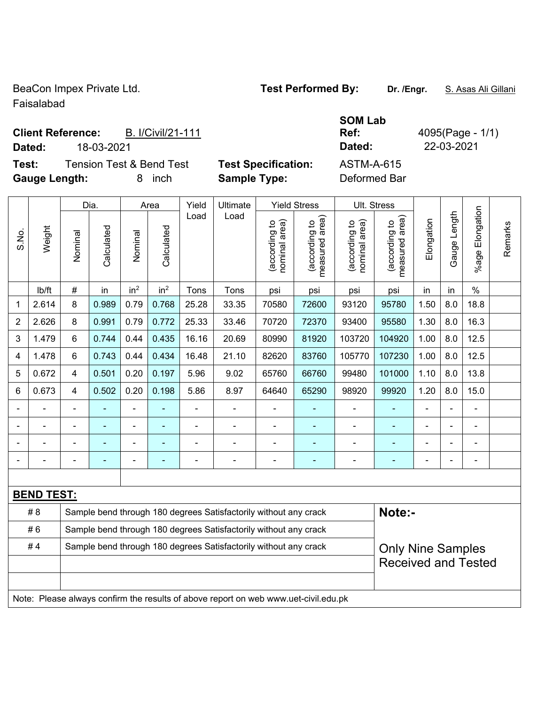BeaCon Impex Private Ltd. **Test Performed By:** Dr. /Engr. **S. Asas Ali Gillani** 

Faisalabad

Τ

Τ

### **Client Reference:** B. I/Civil/21-111 **Dated:** 18-03-2021 **Dated:** 22-03-2021

**Test:** Tension Test & Bend Test **Test Specification:** ASTM-A-615 **Gauge Length:** 8 inch **Sample Type:** Deformed Bar

Dia. Area Yield Ultimate Yield Stress Ult. Stress

**SOM Lab Ref:** 4095(Page - 1/1)

 $\overline{1}$ 

|                                                                         |                   | Dia.                         |            | Area                         |                 | Yield          | Ultimate                                                         | Yield Stress                   |                                             | UII. Stress                    |                                                        |                |              |                      |         |
|-------------------------------------------------------------------------|-------------------|------------------------------|------------|------------------------------|-----------------|----------------|------------------------------------------------------------------|--------------------------------|---------------------------------------------|--------------------------------|--------------------------------------------------------|----------------|--------------|----------------------|---------|
| S.No.                                                                   | Weight            | Nominal                      | Calculated | Nominal                      | Calculated      | Load           | Load                                                             | (according to<br>nominal area) | (according to<br>neasured area)<br>measured | (according to<br>nominal area) | area)<br>(according to<br>measured                     | Elongation     | Gauge Length | Elongation<br>%age I | Remarks |
|                                                                         | lb/ft             | $\#$                         | in         | in <sup>2</sup>              | in <sup>2</sup> | Tons           | Tons                                                             | psi                            | psi                                         | psi                            | psi                                                    | in             | in           | $\%$                 |         |
| 1                                                                       | 2.614             | 8                            | 0.989      | 0.79                         | 0.768           | 25.28          | 33.35                                                            | 70580                          | 72600                                       | 93120                          | 95780                                                  | 1.50           | 8.0          | 18.8                 |         |
| $\overline{2}$                                                          | 2.626             | 8                            | 0.991      | 0.79                         | 0.772           | 25.33          | 33.46                                                            | 70720                          | 72370                                       | 93400                          | 95580                                                  | 1.30           | 8.0          | 16.3                 |         |
| 3                                                                       | 1.479             | 6                            | 0.744      | 0.44                         | 0.435           | 16.16          | 20.69                                                            | 80990                          | 81920                                       | 103720                         | 104920                                                 | 1.00           | 8.0          | 12.5                 |         |
| 4                                                                       | 1.478             | 6                            | 0.743      | 0.44                         | 0.434           | 16.48          | 21.10                                                            | 82620                          | 83760                                       | 105770                         | 107230                                                 | 1.00           | 8.0          | 12.5                 |         |
| 5                                                                       | 0.672             | $\overline{4}$               | 0.501      | 0.20                         | 0.197           | 5.96           | 9.02                                                             | 65760                          | 66760                                       | 99480                          | 101000                                                 | 1.10           | 8.0          | 13.8                 |         |
| 6                                                                       | 0.673             | 4                            | 0.502      | 0.20                         | 0.198           | 5.86           | 8.97                                                             | 64640                          | 65290                                       | 98920                          | 99920                                                  | 1.20           | 8.0          | 15.0                 |         |
|                                                                         |                   | $\blacksquare$               |            |                              |                 |                |                                                                  |                                |                                             |                                |                                                        |                |              |                      |         |
|                                                                         |                   | $\blacksquare$               | ä,         | $\qquad \qquad \blacksquare$ | ٠               | $\blacksquare$ | $\blacksquare$                                                   | $\blacksquare$                 | ۰                                           | $\blacksquare$                 | ٠                                                      | ä,             | ä,           | ä,                   |         |
|                                                                         |                   |                              |            | $\blacksquare$               |                 |                |                                                                  | $\overline{\phantom{0}}$       | ۰                                           |                                | ٠                                                      | $\blacksquare$ |              | ÷                    |         |
|                                                                         |                   | $\qquad \qquad \blacksquare$ |            | $\overline{\phantom{0}}$     | ۰               |                |                                                                  |                                |                                             |                                |                                                        |                |              | ۰                    |         |
|                                                                         |                   |                              |            |                              |                 |                |                                                                  |                                |                                             |                                |                                                        |                |              |                      |         |
|                                                                         | <b>BEND TEST:</b> |                              |            |                              |                 |                |                                                                  |                                |                                             |                                |                                                        |                |              |                      |         |
| # 8<br>Sample bend through 180 degrees Satisfactorily without any crack |                   |                              |            |                              |                 |                |                                                                  |                                | Note:-                                      |                                |                                                        |                |              |                      |         |
|                                                                         | #6                |                              |            |                              |                 |                | Sample bend through 180 degrees Satisfactorily without any crack |                                |                                             |                                |                                                        |                |              |                      |         |
|                                                                         | #4                |                              |            |                              |                 |                | Sample bend through 180 degrees Satisfactorily without any crack |                                |                                             |                                | <b>Only Nine Samples</b><br><b>Received and Tested</b> |                |              |                      |         |
|                                                                         |                   |                              |            |                              |                 |                |                                                                  |                                |                                             |                                |                                                        |                |              |                      |         |

Note: Please always confirm the results of above report on web www.uet-civil.edu.pk